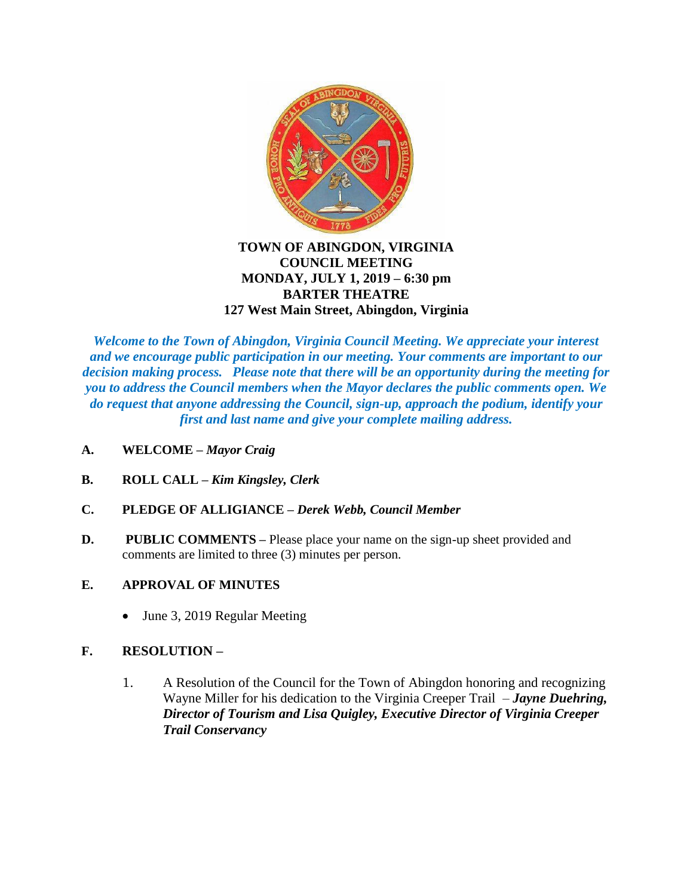

#### **TOWN OF ABINGDON, VIRGINIA COUNCIL MEETING MONDAY, JULY 1, 2019 – 6:30 pm BARTER THEATRE 127 West Main Street, Abingdon, Virginia**

*Welcome to the Town of Abingdon, Virginia Council Meeting. We appreciate your interest and we encourage public participation in our meeting. Your comments are important to our decision making process. Please note that there will be an opportunity during the meeting for you to address the Council members when the Mayor declares the public comments open. We do request that anyone addressing the Council, sign-up, approach the podium, identify your first and last name and give your complete mailing address.*

- **A. WELCOME –** *Mayor Craig*
- **B. ROLL CALL –** *Kim Kingsley, Clerk*
- **C. PLEDGE OF ALLIGIANCE –** *Derek Webb, Council Member*
- **D.** PUBLIC COMMENTS Please place your name on the sign-up sheet provided and comments are limited to three (3) minutes per person.
- **E. APPROVAL OF MINUTES** 
	- June 3, 2019 Regular Meeting

## **F. RESOLUTION –**

1. A Resolution of the Council for the Town of Abingdon honoring and recognizing Wayne Miller for his dedication to the Virginia Creeper Trail – *Jayne Duehring, Director of Tourism and Lisa Quigley, Executive Director of Virginia Creeper Trail Conservancy*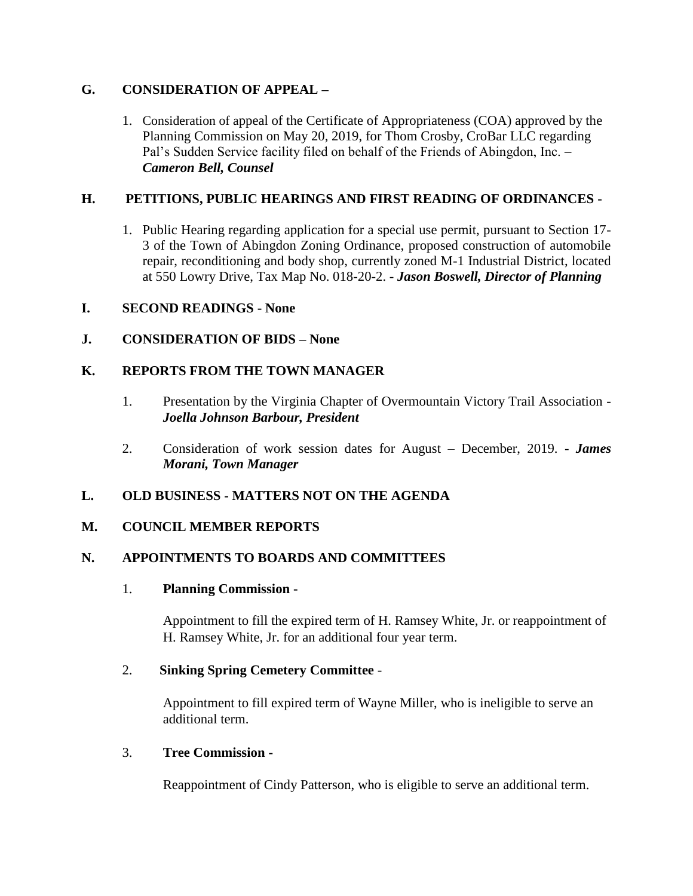# **G. CONSIDERATION OF APPEAL –**

1. Consideration of appeal of the Certificate of Appropriateness (COA) approved by the Planning Commission on May 20, 2019, for Thom Crosby, CroBar LLC regarding Pal's Sudden Service facility filed on behalf of the Friends of Abingdon, Inc. – *Cameron Bell, Counsel*

# **H. PETITIONS, PUBLIC HEARINGS AND FIRST READING OF ORDINANCES -**

1. Public Hearing regarding application for a special use permit, pursuant to Section 17- 3 of the Town of Abingdon Zoning Ordinance, proposed construction of automobile repair, reconditioning and body shop, currently zoned M-1 Industrial District, located at 550 Lowry Drive, Tax Map No. 018-20-2. - *Jason Boswell, Director of Planning*

# **I. SECOND READINGS - None**

# **J. CONSIDERATION OF BIDS – None**

# **K. REPORTS FROM THE TOWN MANAGER**

- 1. Presentation by the Virginia Chapter of Overmountain Victory Trail Association *Joella Johnson Barbour, President*
- 2. Consideration of work session dates for August December, 2019. *James Morani, Town Manager*

## **L. OLD BUSINESS - MATTERS NOT ON THE AGENDA**

## **M. COUNCIL MEMBER REPORTS**

## **N. APPOINTMENTS TO BOARDS AND COMMITTEES**

## 1. **Planning Commission -**

Appointment to fill the expired term of H. Ramsey White, Jr. or reappointment of H. Ramsey White, Jr. for an additional four year term.

## 2. **Sinking Spring Cemetery Committee** -

Appointment to fill expired term of Wayne Miller, who is ineligible to serve an additional term.

#### 3. **Tree Commission -**

Reappointment of Cindy Patterson, who is eligible to serve an additional term.